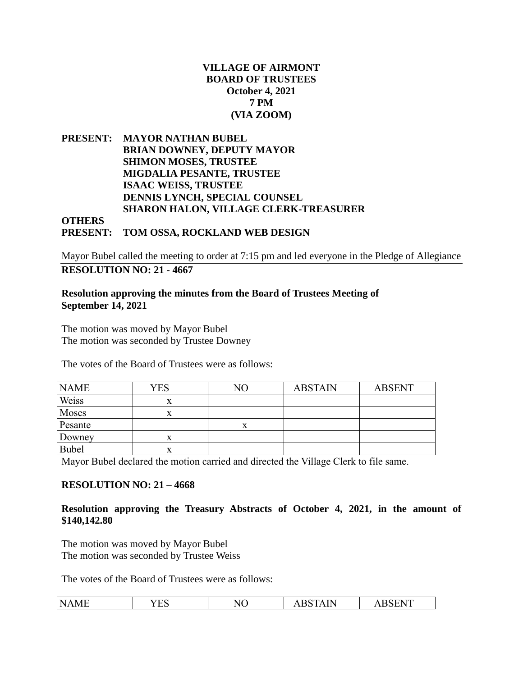### **VILLAGE OF AIRMONT BOARD OF TRUSTEES October 4, 2021 7 PM (VIA ZOOM)**

**PRESENT: MAYOR NATHAN BUBEL BRIAN DOWNEY, DEPUTY MAYOR SHIMON MOSES, TRUSTEE MIGDALIA PESANTE, TRUSTEE ISAAC WEISS, TRUSTEE DENNIS LYNCH, SPECIAL COUNSEL SHARON HALON, VILLAGE CLERK-TREASURER OTHERS PRESENT: TOM OSSA, ROCKLAND WEB DESIGN**

Mayor Bubel called the meeting to order at 7:15 pm and led everyone in the Pledge of Allegiance **RESOLUTION NO: 21 - 4667**

### **Resolution approving the minutes from the Board of Trustees Meeting of September 14, 2021**

The motion was moved by Mayor Bubel The motion was seconded by Trustee Downey

The votes of the Board of Trustees were as follows:

| <b>NAME</b>  | YES | NΟ | <b>ABSTAIN</b> | <b>ABSENT</b> |
|--------------|-----|----|----------------|---------------|
| Weiss        | л   |    |                |               |
| Moses        | л   |    |                |               |
| Pesante      |     | х  |                |               |
| Downey       | x   |    |                |               |
| <b>Bubel</b> |     |    |                |               |

Mayor Bubel declared the motion carried and directed the Village Clerk to file same.

### **RESOLUTION NO: 21 – 4668**

#### **Resolution approving the Treasury Abstracts of October 4, 2021, in the amount of \$140,142.80**

The motion was moved by Mayor Bubel The motion was seconded by Trustee Weiss

| N<br>n<br><br>. .<br>-<br>$\mathbf{v}$<br>.<br>◝◡<br>- 12 N<br><br>.<br>. .<br>. . |
|------------------------------------------------------------------------------------|
|------------------------------------------------------------------------------------|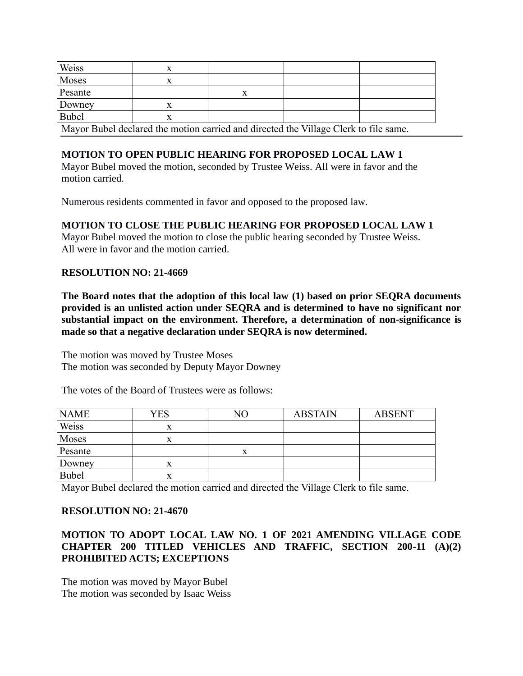| Weiss        |  |                                                                                      |  |
|--------------|--|--------------------------------------------------------------------------------------|--|
| Moses        |  |                                                                                      |  |
| Pesante      |  |                                                                                      |  |
| Downey       |  |                                                                                      |  |
| <b>Bubel</b> |  |                                                                                      |  |
|              |  | Morror Dukel, declared the motion counted and dimented the Village Claudete Cleaner. |  |

Mayor Bubel declared the motion carried and directed the Village Clerk to file same.

# **MOTION TO OPEN PUBLIC HEARING FOR PROPOSED LOCAL LAW 1**

Mayor Bubel moved the motion, seconded by Trustee Weiss. All were in favor and the motion carried.

Numerous residents commented in favor and opposed to the proposed law.

## **MOTION TO CLOSE THE PUBLIC HEARING FOR PROPOSED LOCAL LAW 1**

Mayor Bubel moved the motion to close the public hearing seconded by Trustee Weiss. All were in favor and the motion carried.

## **RESOLUTION NO: 21-4669**

**The Board notes that the adoption of this local law (1) based on prior SEQRA documents provided is an unlisted action under SEQRA and is determined to have no significant nor substantial impact on the environment. Therefore, a determination of non-significance is made so that a negative declaration under SEQRA is now determined.**

The motion was moved by Trustee Moses The motion was seconded by Deputy Mayor Downey

The votes of the Board of Trustees were as follows:

| <b>NAME</b>  | YES | NΟ        | <b>ABSTAIN</b> | <b>ABSENT</b> |
|--------------|-----|-----------|----------------|---------------|
| Weiss        |     |           |                |               |
| Moses        |     |           |                |               |
| Pesante      |     | $\Lambda$ |                |               |
| Downey       | л   |           |                |               |
| <b>Bubel</b> |     |           |                |               |

Mayor Bubel declared the motion carried and directed the Village Clerk to file same.

### **RESOLUTION NO: 21-4670**

### **MOTION TO ADOPT LOCAL LAW NO. 1 OF 2021 AMENDING VILLAGE CODE CHAPTER 200 TITLED VEHICLES AND TRAFFIC, SECTION 200-11 (A)(2) PROHIBITED ACTS; EXCEPTIONS**

The motion was moved by Mayor Bubel The motion was seconded by Isaac Weiss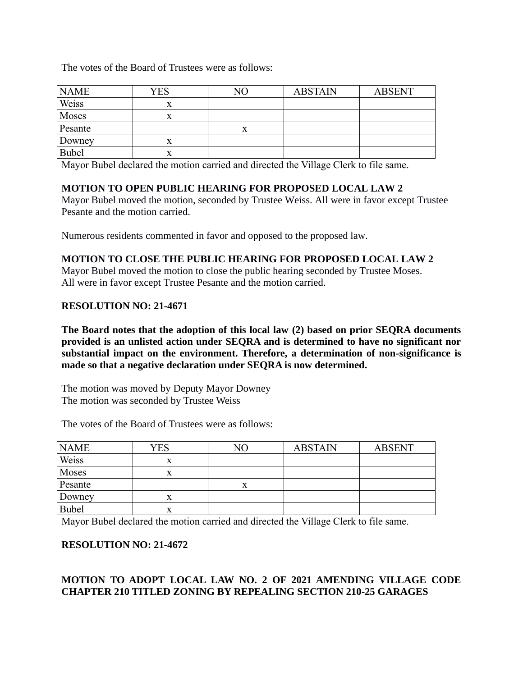The votes of the Board of Trustees were as follows:

| <b>NAME</b>  | <b>YES</b> | NO | <b>ABSTAIN</b> | <b>ABSENT</b> |
|--------------|------------|----|----------------|---------------|
| Weiss        | x          |    |                |               |
| Moses        | x          |    |                |               |
| Pesante      |            | х  |                |               |
| Downey       | x          |    |                |               |
| <b>Bubel</b> | x          |    |                |               |

Mayor Bubel declared the motion carried and directed the Village Clerk to file same.

## **MOTION TO OPEN PUBLIC HEARING FOR PROPOSED LOCAL LAW 2**

Mayor Bubel moved the motion, seconded by Trustee Weiss. All were in favor except Trustee Pesante and the motion carried.

Numerous residents commented in favor and opposed to the proposed law.

## **MOTION TO CLOSE THE PUBLIC HEARING FOR PROPOSED LOCAL LAW 2**

Mayor Bubel moved the motion to close the public hearing seconded by Trustee Moses. All were in favor except Trustee Pesante and the motion carried.

### **RESOLUTION NO: 21-4671**

**The Board notes that the adoption of this local law (2) based on prior SEQRA documents provided is an unlisted action under SEQRA and is determined to have no significant nor substantial impact on the environment. Therefore, a determination of non-significance is made so that a negative declaration under SEQRA is now determined.**

The motion was moved by Deputy Mayor Downey The motion was seconded by Trustee Weiss

| <b>NAME</b>  | YES | NО | <b>ABSTAIN</b> | <b>ABSENT</b> |
|--------------|-----|----|----------------|---------------|
| Weiss        | x   |    |                |               |
| Moses        |     |    |                |               |
| Pesante      |     |    |                |               |
| Downey       |     |    |                |               |
| <b>Bubel</b> |     |    |                |               |

The votes of the Board of Trustees were as follows:

Mayor Bubel declared the motion carried and directed the Village Clerk to file same.

### **RESOLUTION NO: 21-4672**

# **MOTION TO ADOPT LOCAL LAW NO. 2 OF 2021 AMENDING VILLAGE CODE CHAPTER 210 TITLED ZONING BY REPEALING SECTION 210-25 GARAGES**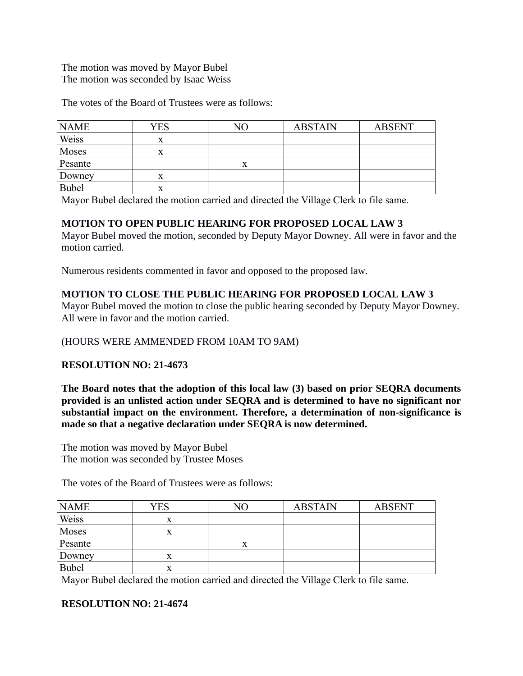The motion was moved by Mayor Bubel The motion was seconded by Isaac Weiss

The votes of the Board of Trustees were as follows:

| <b>NAME</b>  | YES | NO | <b>ABSTAIN</b> | <b>ABSENT</b> |
|--------------|-----|----|----------------|---------------|
| Weiss        | x   |    |                |               |
| Moses        | x   |    |                |               |
| Pesante      |     |    |                |               |
| Downey       | х   |    |                |               |
| <b>Bubel</b> | л   |    |                |               |

Mayor Bubel declared the motion carried and directed the Village Clerk to file same.

## **MOTION TO OPEN PUBLIC HEARING FOR PROPOSED LOCAL LAW 3**

Mayor Bubel moved the motion, seconded by Deputy Mayor Downey. All were in favor and the motion carried.

Numerous residents commented in favor and opposed to the proposed law.

## **MOTION TO CLOSE THE PUBLIC HEARING FOR PROPOSED LOCAL LAW 3**

Mayor Bubel moved the motion to close the public hearing seconded by Deputy Mayor Downey. All were in favor and the motion carried.

### (HOURS WERE AMMENDED FROM 10AM TO 9AM)

### **RESOLUTION NO: 21-4673**

**The Board notes that the adoption of this local law (3) based on prior SEQRA documents provided is an unlisted action under SEQRA and is determined to have no significant nor substantial impact on the environment. Therefore, a determination of non-significance is made so that a negative declaration under SEQRA is now determined.**

The motion was moved by Mayor Bubel The motion was seconded by Trustee Moses

The votes of the Board of Trustees were as follows:

| <b>NAME</b>  | YES | NΟ        | <b>ABSTAIN</b> | <b>ABSENT</b> |
|--------------|-----|-----------|----------------|---------------|
| Weiss        | x   |           |                |               |
| Moses        | л   |           |                |               |
| Pesante      |     | $\lambda$ |                |               |
| Downey       | x   |           |                |               |
| <b>Bubel</b> | x   |           |                |               |

Mayor Bubel declared the motion carried and directed the Village Clerk to file same.

## **RESOLUTION NO: 21-4674**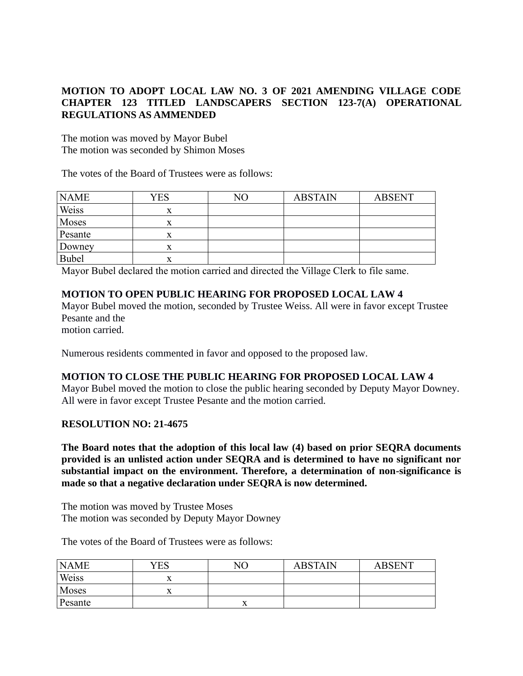# **MOTION TO ADOPT LOCAL LAW NO. 3 OF 2021 AMENDING VILLAGE CODE CHAPTER 123 TITLED LANDSCAPERS SECTION 123-7(A) OPERATIONAL REGULATIONS AS AMMENDED**

The motion was moved by Mayor Bubel The motion was seconded by Shimon Moses

The votes of the Board of Trustees were as follows:

| <b>NAME</b> | YES | NΟ | <b>ABSTAIN</b> | <b>ABSENT</b> |
|-------------|-----|----|----------------|---------------|
| Weiss       | X   |    |                |               |
| Moses       | x   |    |                |               |
| Pesante     |     |    |                |               |
| Downey      |     |    |                |               |
| Bubel       |     |    |                |               |

Mayor Bubel declared the motion carried and directed the Village Clerk to file same.

## **MOTION TO OPEN PUBLIC HEARING FOR PROPOSED LOCAL LAW 4**

Mayor Bubel moved the motion, seconded by Trustee Weiss. All were in favor except Trustee Pesante and the

motion carried.

Numerous residents commented in favor and opposed to the proposed law.

### **MOTION TO CLOSE THE PUBLIC HEARING FOR PROPOSED LOCAL LAW 4**

Mayor Bubel moved the motion to close the public hearing seconded by Deputy Mayor Downey. All were in favor except Trustee Pesante and the motion carried.

### **RESOLUTION NO: 21-4675**

**The Board notes that the adoption of this local law (4) based on prior SEQRA documents provided is an unlisted action under SEQRA and is determined to have no significant nor substantial impact on the environment. Therefore, a determination of non-significance is made so that a negative declaration under SEQRA is now determined.**

The motion was moved by Trustee Moses The motion was seconded by Deputy Mayor Downey

| <b>NAME</b> | YES | NΟ | <b>ABSTAIN</b> | <b>ABSENT</b> |
|-------------|-----|----|----------------|---------------|
| Weiss       |     |    |                |               |
| Moses       |     |    |                |               |
| Pesante     |     |    |                |               |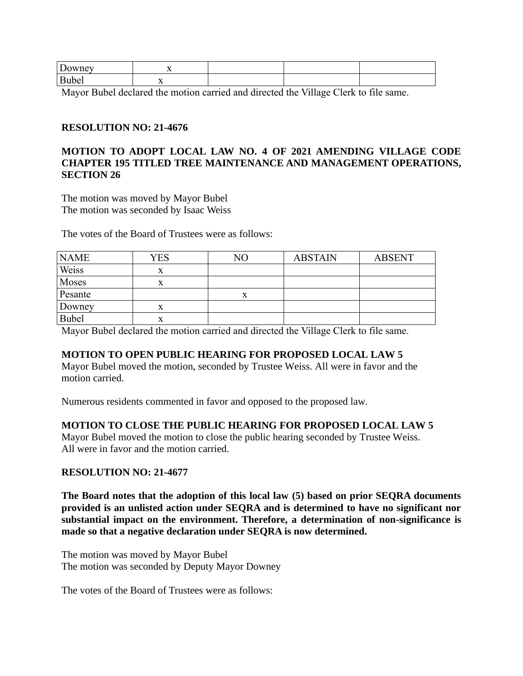| r<br>ownev | . .                             |  |  |
|------------|---------------------------------|--|--|
| Bubel      | - -<br>$\overline{\phantom{a}}$ |  |  |

Mayor Bubel declared the motion carried and directed the Village Clerk to file same.

### **RESOLUTION NO: 21-4676**

### **MOTION TO ADOPT LOCAL LAW NO. 4 OF 2021 AMENDING VILLAGE CODE CHAPTER 195 TITLED TREE MAINTENANCE AND MANAGEMENT OPERATIONS, SECTION 26**

The motion was moved by Mayor Bubel The motion was seconded by Isaac Weiss

The votes of the Board of Trustees were as follows:

| <b>NAME</b>  | YES    | NO | <b>ABSTAIN</b> | <b>ABSENT</b> |
|--------------|--------|----|----------------|---------------|
| Weiss        | x      |    |                |               |
| Moses        | x      |    |                |               |
| Pesante      |        |    |                |               |
| Downey       | x      |    |                |               |
| <b>Bubel</b> | v<br>л |    |                |               |

Mayor Bubel declared the motion carried and directed the Village Clerk to file same.

## **MOTION TO OPEN PUBLIC HEARING FOR PROPOSED LOCAL LAW 5**

Mayor Bubel moved the motion, seconded by Trustee Weiss. All were in favor and the motion carried.

Numerous residents commented in favor and opposed to the proposed law.

### **MOTION TO CLOSE THE PUBLIC HEARING FOR PROPOSED LOCAL LAW 5**

Mayor Bubel moved the motion to close the public hearing seconded by Trustee Weiss. All were in favor and the motion carried.

### **RESOLUTION NO: 21-4677**

**The Board notes that the adoption of this local law (5) based on prior SEQRA documents provided is an unlisted action under SEQRA and is determined to have no significant nor substantial impact on the environment. Therefore, a determination of non-significance is made so that a negative declaration under SEQRA is now determined.**

The motion was moved by Mayor Bubel The motion was seconded by Deputy Mayor Downey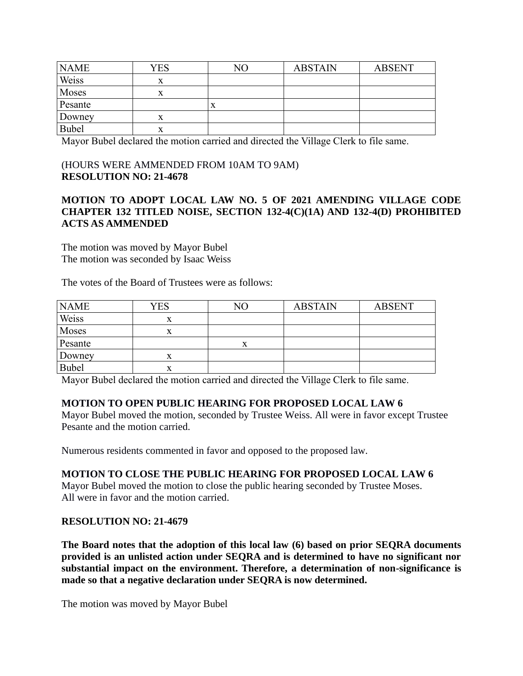| <b>NAME</b>  | YES | NΟ | <b>ABSTAIN</b> | <b>ABSENT</b> |
|--------------|-----|----|----------------|---------------|
| Weiss        | X   |    |                |               |
| Moses        | X   |    |                |               |
| Pesante      |     |    |                |               |
| Downey       | х   |    |                |               |
| <b>Bubel</b> | X   |    |                |               |

Mayor Bubel declared the motion carried and directed the Village Clerk to file same.

### (HOURS WERE AMMENDED FROM 10AM TO 9AM) **RESOLUTION NO: 21-4678**

## **MOTION TO ADOPT LOCAL LAW NO. 5 OF 2021 AMENDING VILLAGE CODE CHAPTER 132 TITLED NOISE, SECTION 132-4(C)(1A) AND 132-4(D) PROHIBITED ACTS AS AMMENDED**

The motion was moved by Mayor Bubel The motion was seconded by Isaac Weiss

The votes of the Board of Trustees were as follows:

| <b>NAME</b>  | <b>YES</b>     | NO | <b>ABSTAIN</b> | <b>ABSENT</b> |
|--------------|----------------|----|----------------|---------------|
| Weiss        | v<br>$\Lambda$ |    |                |               |
| Moses        | $\Lambda$      |    |                |               |
| Pesante      |                | △  |                |               |
| Downey       | $\Lambda$      |    |                |               |
| <b>Bubel</b> | л              |    |                |               |

Mayor Bubel declared the motion carried and directed the Village Clerk to file same.

## **MOTION TO OPEN PUBLIC HEARING FOR PROPOSED LOCAL LAW 6**

Mayor Bubel moved the motion, seconded by Trustee Weiss. All were in favor except Trustee Pesante and the motion carried.

Numerous residents commented in favor and opposed to the proposed law.

## **MOTION TO CLOSE THE PUBLIC HEARING FOR PROPOSED LOCAL LAW 6**

Mayor Bubel moved the motion to close the public hearing seconded by Trustee Moses. All were in favor and the motion carried.

## **RESOLUTION NO: 21-4679**

**The Board notes that the adoption of this local law (6) based on prior SEQRA documents provided is an unlisted action under SEQRA and is determined to have no significant nor substantial impact on the environment. Therefore, a determination of non-significance is made so that a negative declaration under SEQRA is now determined.**

The motion was moved by Mayor Bubel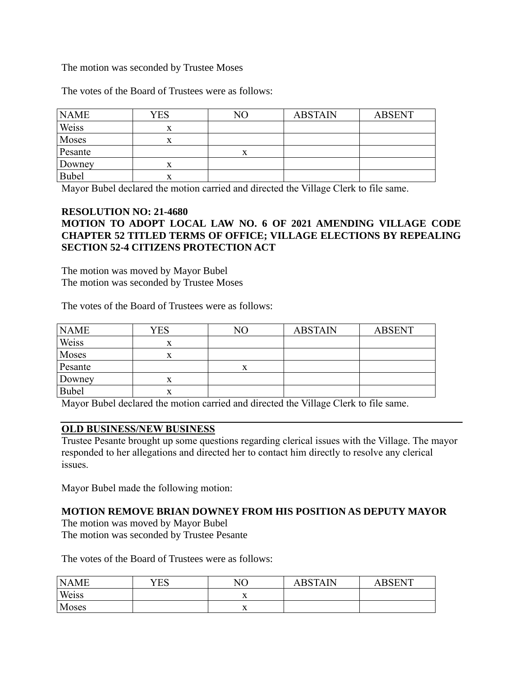### The motion was seconded by Trustee Moses

The votes of the Board of Trustees were as follows:

| <b>NAME</b>  | YES       | NΟ | <b>ABSTAIN</b> | <b>ABSENT</b> |
|--------------|-----------|----|----------------|---------------|
| Weiss        | x         |    |                |               |
| Moses        | x         |    |                |               |
| Pesante      |           |    |                |               |
| Downey       | л         |    |                |               |
| <b>Bubel</b> | $\Lambda$ |    |                |               |

Mayor Bubel declared the motion carried and directed the Village Clerk to file same.

## **RESOLUTION NO: 21-4680**

# **MOTION TO ADOPT LOCAL LAW NO. 6 OF 2021 AMENDING VILLAGE CODE CHAPTER 52 TITLED TERMS OF OFFICE; VILLAGE ELECTIONS BY REPEALING SECTION 52-4 CITIZENS PROTECTION ACT**

The motion was moved by Mayor Bubel The motion was seconded by Trustee Moses

The votes of the Board of Trustees were as follows:

| <b>NAME</b> |     |    |                |               |  |
|-------------|-----|----|----------------|---------------|--|
|             | YES | NO | <b>ABSTAIN</b> | <b>ABSENT</b> |  |
| Weiss       | X   |    |                |               |  |
| Moses       | x   |    |                |               |  |
| Pesante     |     | x  |                |               |  |
| Downey      | x   |    |                |               |  |
| Bubel       | л   |    |                |               |  |
|             |     |    |                |               |  |

Mayor Bubel declared the motion carried and directed the Village Clerk to file same.

### **OLD BUSINESS/NEW BUSINESS**

Trustee Pesante brought up some questions regarding clerical issues with the Village. The mayor responded to her allegations and directed her to contact him directly to resolve any clerical issues.

Mayor Bubel made the following motion:

### **MOTION REMOVE BRIAN DOWNEY FROM HIS POSITION AS DEPUTY MAYOR**

The motion was moved by Mayor Bubel The motion was seconded by Trustee Pesante

| <b>NAME</b> | YES | NΟ        | <b>ABSTAIN</b> | <b>ARSENT</b> |
|-------------|-----|-----------|----------------|---------------|
| Weiss       |     | $\lambda$ |                |               |
| Moses       |     | $\lambda$ |                |               |